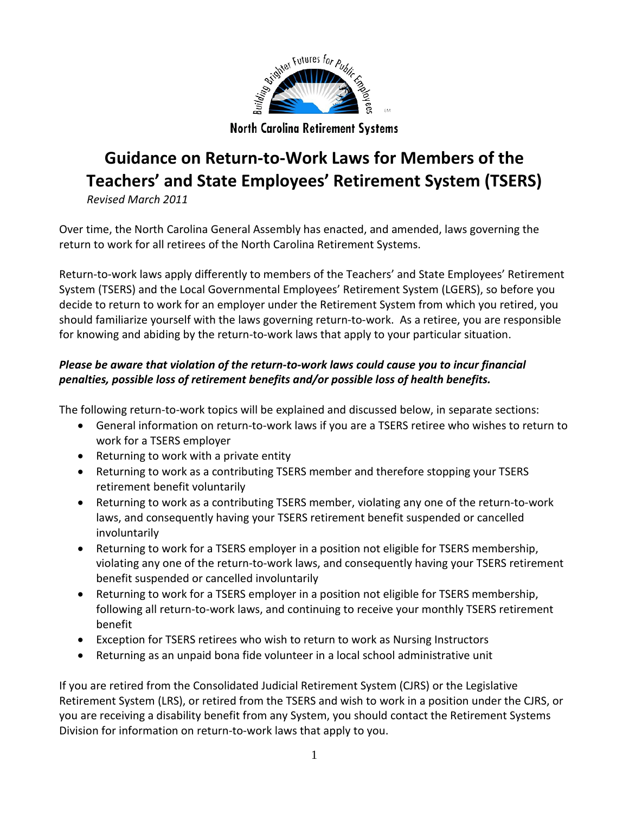

**North Carolina Retirement Systems** 

# **Guidance on Return-to-Work Laws for Members of the Teachers' and State Employees' Retirement System (TSERS)**

*Revised March 2011*

Over time, the North Carolina General Assembly has enacted, and amended, laws governing the return to work for all retirees of the North Carolina Retirement Systems.

Return-to-work laws apply differently to members of the Teachers' and State Employees' Retirement System (TSERS) and the Local Governmental Employees' Retirement System (LGERS), so before you decide to return to work for an employer under the Retirement System from which you retired, you should familiarize yourself with the laws governing return-to-work. As a retiree, you are responsible for knowing and abiding by the return-to-work laws that apply to your particular situation.

#### *Please be aware that violation of the return-to-work laws could cause you to incur financial penalties, possible loss of retirement benefits and/or possible loss of health benefits.*

The following return-to-work topics will be explained and discussed below, in separate sections:

- General information on return-to-work laws if you are a TSERS retiree who wishes to return to work for a TSERS employer
- Returning to work with a private entity
- Returning to work as a contributing TSERS member and therefore stopping your TSERS retirement benefit voluntarily
- Returning to work as a contributing TSERS member, violating any one of the return-to-work laws, and consequently having your TSERS retirement benefit suspended or cancelled involuntarily
- Returning to work for a TSERS employer in a position not eligible for TSERS membership, violating any one of the return-to-work laws, and consequently having your TSERS retirement benefit suspended or cancelled involuntarily
- Returning to work for a TSERS employer in a position not eligible for TSERS membership, following all return-to-work laws, and continuing to receive your monthly TSERS retirement benefit
- Exception for TSERS retirees who wish to return to work as Nursing Instructors
- Returning as an unpaid bona fide volunteer in a local school administrative unit

If you are retired from the Consolidated Judicial Retirement System (CJRS) or the Legislative Retirement System (LRS), or retired from the TSERS and wish to work in a position under the CJRS, or you are receiving a disability benefit from any System, you should contact the Retirement Systems Division for information on return-to-work laws that apply to you.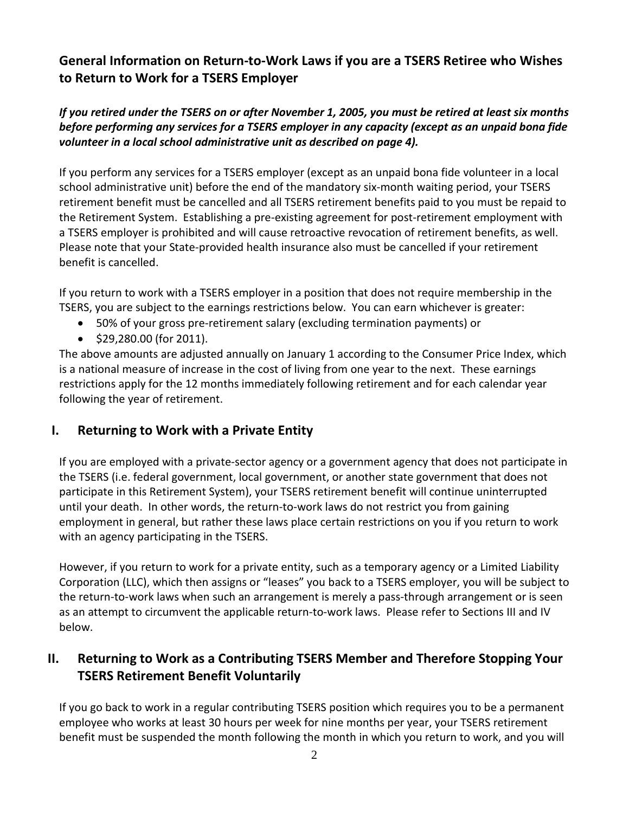## **General Information on Return-to-Work Laws if you are a TSERS Retiree who Wishes to Return to Work for a TSERS Employer**

#### *If you retired under the TSERS on or after November 1, 2005, you must be retired at least six months before performing any services for a TSERS employer in any capacity (except as an unpaid bona fide volunteer in a local school administrative unit as described on page 4).*

If you perform any services for a TSERS employer (except as an unpaid bona fide volunteer in a local school administrative unit) before the end of the mandatory six-month waiting period, your TSERS retirement benefit must be cancelled and all TSERS retirement benefits paid to you must be repaid to the Retirement System. Establishing a pre-existing agreement for post-retirement employment with a TSERS employer is prohibited and will cause retroactive revocation of retirement benefits, as well. Please note that your State-provided health insurance also must be cancelled if your retirement benefit is cancelled.

If you return to work with a TSERS employer in a position that does not require membership in the TSERS, you are subject to the earnings restrictions below. You can earn whichever is greater:

- 50% of your gross pre-retirement salary (excluding termination payments) or
- \$29,280.00 (for 2011).

The above amounts are adjusted annually on January 1 according to the Consumer Price Index, which is a national measure of increase in the cost of living from one year to the next. These earnings restrictions apply for the 12 months immediately following retirement and for each calendar year following the year of retirement.

#### **I. Returning to Work with a Private Entity**

If you are employed with a private-sector agency or a government agency that does not participate in the TSERS (i.e. federal government, local government, or another state government that does not participate in this Retirement System), your TSERS retirement benefit will continue uninterrupted until your death. In other words, the return-to-work laws do not restrict you from gaining employment in general, but rather these laws place certain restrictions on you if you return to work with an agency participating in the TSERS.

However, if you return to work for a private entity, such as a temporary agency or a Limited Liability Corporation (LLC), which then assigns or "leases" you back to a TSERS employer, you will be subject to the return-to-work laws when such an arrangement is merely a pass-through arrangement or is seen as an attempt to circumvent the applicable return-to-work laws. Please refer to Sections III and IV below.

## **II. Returning to Work as a Contributing TSERS Member and Therefore Stopping Your TSERS Retirement Benefit Voluntarily**

If you go back to work in a regular contributing TSERS position which requires you to be a permanent employee who works at least 30 hours per week for nine months per year, your TSERS retirement benefit must be suspended the month following the month in which you return to work, and you will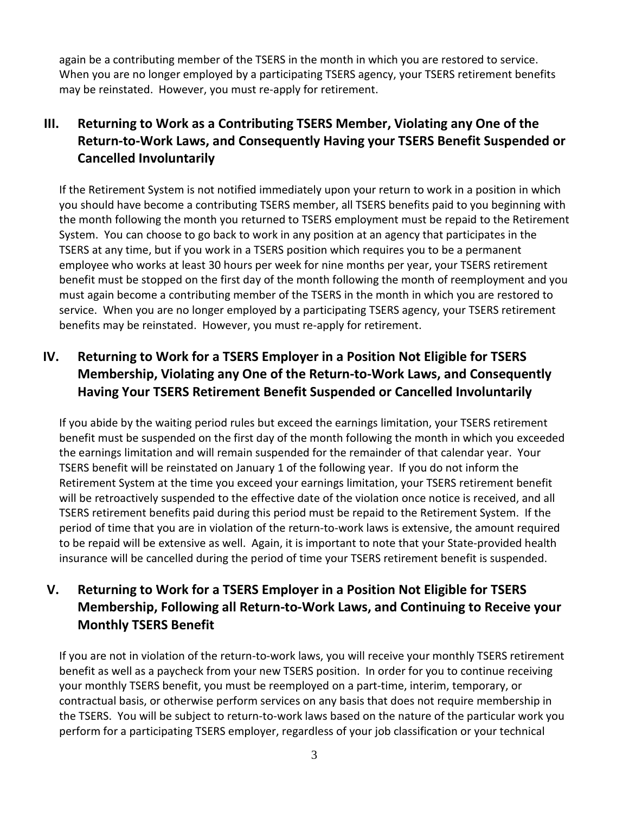again be a contributing member of the TSERS in the month in which you are restored to service. When you are no longer employed by a participating TSERS agency, your TSERS retirement benefits may be reinstated. However, you must re-apply for retirement.

# **III. Returning to Work as a Contributing TSERS Member, Violating any One of the Return-to-Work Laws, and Consequently Having your TSERS Benefit Suspended or Cancelled Involuntarily**

If the Retirement System is not notified immediately upon your return to work in a position in which you should have become a contributing TSERS member, all TSERS benefits paid to you beginning with the month following the month you returned to TSERS employment must be repaid to the Retirement System. You can choose to go back to work in any position at an agency that participates in the TSERS at any time, but if you work in a TSERS position which requires you to be a permanent employee who works at least 30 hours per week for nine months per year, your TSERS retirement benefit must be stopped on the first day of the month following the month of reemployment and you must again become a contributing member of the TSERS in the month in which you are restored to service. When you are no longer employed by a participating TSERS agency, your TSERS retirement benefits may be reinstated. However, you must re-apply for retirement.

# **IV. Returning to Work for a TSERS Employer in a Position Not Eligible for TSERS Membership, Violating any One of the Return-to-Work Laws, and Consequently Having Your TSERS Retirement Benefit Suspended or Cancelled Involuntarily**

If you abide by the waiting period rules but exceed the earnings limitation, your TSERS retirement benefit must be suspended on the first day of the month following the month in which you exceeded the earnings limitation and will remain suspended for the remainder of that calendar year. Your TSERS benefit will be reinstated on January 1 of the following year. If you do not inform the Retirement System at the time you exceed your earnings limitation, your TSERS retirement benefit will be retroactively suspended to the effective date of the violation once notice is received, and all TSERS retirement benefits paid during this period must be repaid to the Retirement System. If the period of time that you are in violation of the return-to-work laws is extensive, the amount required to be repaid will be extensive as well. Again, it is important to note that your State-provided health insurance will be cancelled during the period of time your TSERS retirement benefit is suspended.

## **V. Returning to Work for a TSERS Employer in a Position Not Eligible for TSERS Membership, Following all Return-to-Work Laws, and Continuing to Receive your Monthly TSERS Benefit**

If you are not in violation of the return-to-work laws, you will receive your monthly TSERS retirement benefit as well as a paycheck from your new TSERS position. In order for you to continue receiving your monthly TSERS benefit, you must be reemployed on a part-time, interim, temporary, or contractual basis, or otherwise perform services on any basis that does not require membership in the TSERS. You will be subject to return-to-work laws based on the nature of the particular work you perform for a participating TSERS employer, regardless of your job classification or your technical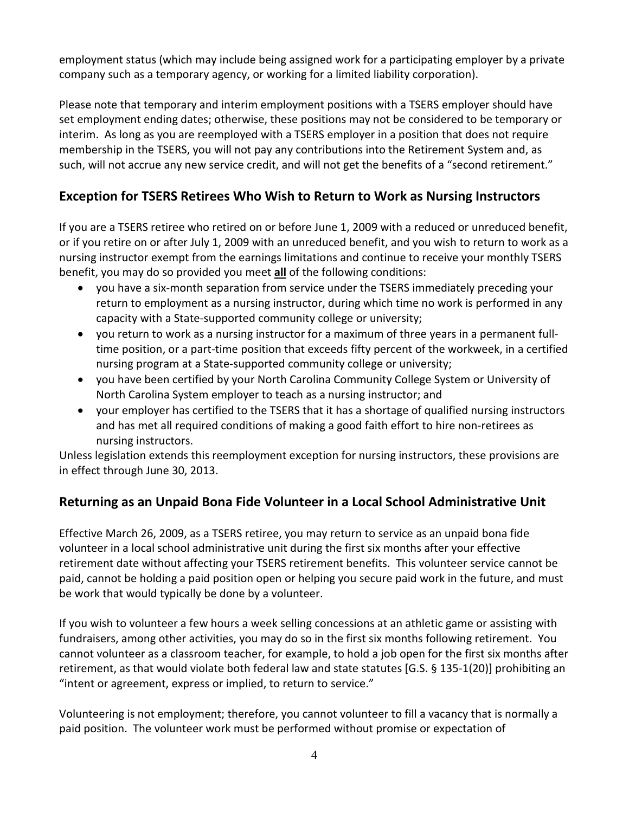employment status (which may include being assigned work for a participating employer by a private company such as a temporary agency, or working for a limited liability corporation).

Please note that temporary and interim employment positions with a TSERS employer should have set employment ending dates; otherwise, these positions may not be considered to be temporary or interim. As long as you are reemployed with a TSERS employer in a position that does not require membership in the TSERS, you will not pay any contributions into the Retirement System and, as such, will not accrue any new service credit, and will not get the benefits of a "second retirement."

## **Exception for TSERS Retirees Who Wish to Return to Work as Nursing Instructors**

If you are a TSERS retiree who retired on or before June 1, 2009 with a reduced or unreduced benefit, or if you retire on or after July 1, 2009 with an unreduced benefit, and you wish to return to work as a nursing instructor exempt from the earnings limitations and continue to receive your monthly TSERS benefit, you may do so provided you meet **all** of the following conditions:

- you have a six-month separation from service under the TSERS immediately preceding your return to employment as a nursing instructor, during which time no work is performed in any capacity with a State-supported community college or university;
- you return to work as a nursing instructor for a maximum of three years in a permanent fulltime position, or a part-time position that exceeds fifty percent of the workweek, in a certified nursing program at a State-supported community college or university;
- you have been certified by your North Carolina Community College System or University of North Carolina System employer to teach as a nursing instructor; and
- your employer has certified to the TSERS that it has a shortage of qualified nursing instructors and has met all required conditions of making a good faith effort to hire non-retirees as nursing instructors.

Unless legislation extends this reemployment exception for nursing instructors, these provisions are in effect through June 30, 2013.

#### **Returning as an Unpaid Bona Fide Volunteer in a Local School Administrative Unit**

Effective March 26, 2009, as a TSERS retiree, you may return to service as an unpaid bona fide volunteer in a local school administrative unit during the first six months after your effective retirement date without affecting your TSERS retirement benefits. This volunteer service cannot be paid, cannot be holding a paid position open or helping you secure paid work in the future, and must be work that would typically be done by a volunteer.

If you wish to volunteer a few hours a week selling concessions at an athletic game or assisting with fundraisers, among other activities, you may do so in the first six months following retirement. You cannot volunteer as a classroom teacher, for example, to hold a job open for the first six months after retirement, as that would violate both federal law and state statutes [G.S. § 135-1(20)] prohibiting an "intent or agreement, express or implied, to return to service."

Volunteering is not employment; therefore, you cannot volunteer to fill a vacancy that is normally a paid position. The volunteer work must be performed without promise or expectation of